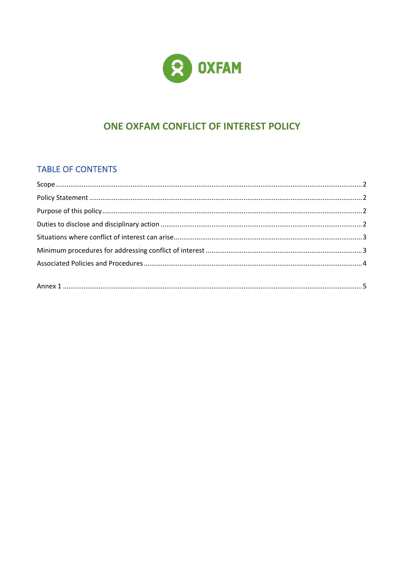

# ONE OXFAM CONFLICT OF INTEREST POLICY

## TABLE OF CONTENTS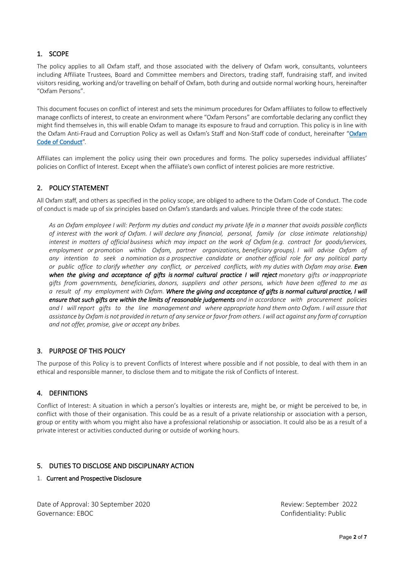## 1. SCOPE

The policy applies to all Oxfam staff, and those associated with the delivery of Oxfam work, consultants, volunteers including Affiliate Trustees, Board and Committee members and Directors, trading staff, fundraising staff, and invited visitors residing, working and/or travelling on behalf of Oxfam, both during and outside normal working hours, hereinafter "Oxfam Persons".

This document focuses on conflict of interest and sets the minimum procedures for Oxfam affiliates to follow to effectively manage conflicts of interest, to create an environment where "Oxfam Persons" are comfortable declaring any conflict they might find themselves in, this will enable Oxfam to manage its exposure to fraud and corruption. This policy is in line with the Oxfam Anti-Fraud and Corruption Policy as well as Oxfam's Staff and Non-Staff code of conduct, hereinafter "Oxfam Code of Conduct".

Affiliates can implement the policy using their own procedures and forms. The policy supersedes individual affiliates' policies on Conflict of Interest. Except when the affiliate's own conflict of interest policies are more restrictive.

## 2. POLICY STATEMENT

All Oxfam staff, and others as specified in the policy scope, are obliged to adhere to the Oxfam Code of Conduct. The code of conduct is made up of six principles based on Oxfam's standards and values. Principle three of the code states:

*As an Oxfam employee I will: Perform my duties and conduct my private life in a manner that avoids possible conflicts of interest with the work of Oxfam. I will declare any financial, personal, family (or close intimate relationship) interest in matters of official business which may impact on the work of Oxfam (e.g. contract for goods/services, employment or promotion within Oxfam, partner organizations, beneficiary groups). I will advise Oxfam of any intention to seek a nomination as a prospective candidate or another official role for any political party or public office to clarify whether any conflict, or perceived conflicts, with my duties with Oxfam may arise. Even when the giving and acceptance of gifts is normal cultural practice I will reject monetary gifts or inappropriate gifts from governments, beneficiaries, donors, suppliers and other persons, which have been offered to me as a result of my employment with Oxfam. Where the giving and acceptance of gifts is normal cultural practice, I will ensure that such gifts are within the limits of reasonable judgements and in accordance with procurement policies*  and I will report gifts to the line management and where appropriate hand them onto Oxfam. I will assure that *assistance by Oxfam is not provided in return of any service or favor from others. I will act against any form of corruption and not offer, promise, give or accept any bribes.*

## 3. PURPOSE OF THIS POLICY

The purpose of this Policy is to prevent Conflicts of Interest where possible and if not possible, to deal with them in an ethical and responsible manner, to disclose them and to mitigate the risk of Conflicts of Interest.

## 4. DEFINITIONS

Conflict of Interest: A situation in which a person's loyalties or interests are, might be, or might be perceived to be, in conflict with those of their organisation. This could be as a result of a private relationship or association with a person, group or entity with whom you might also have a professional relationship or association. It could also be as a result of a private interest or activities conducted during or outside of working hours.

## 5. DUTIES TO DISCLOSE AND DISCIPLINARY ACTION

#### 1. Current and Prospective Disclosure

Date of Approval: 30 September 2020 and the control of Approval: 30 September 2022 Governance: EBOC Confidentiality: Public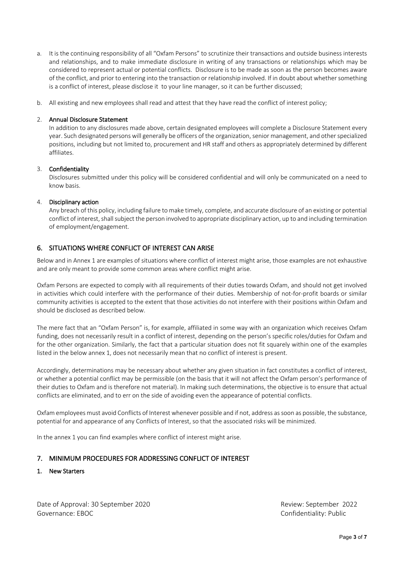- a. It is the continuing responsibility of all "Oxfam Persons" to scrutinize their transactions and outside business interests and relationships, and to make immediate disclosure in writing of any transactions or relationships which may be considered to represent actual or potential conflicts. Disclosure is to be made as soon as the person becomes aware of the conflict, and prior to entering into the transaction or relationship involved. If in doubt about whether something is a conflict of interest, please disclose it to your line manager, so it can be further discussed;
- b. All existing and new employees shall read and attest that they have read the conflict of interest policy;

### 2. Annual Disclosure Statement

In addition to any disclosures made above, certain designated employees will complete a Disclosure Statement every year. Such designated persons will generally be officers of the organization, senior management, and other specialized positions, including but not limited to, procurement and HR staff and others as appropriately determined by different affiliates.

#### 3. Confidentiality

Disclosures submitted under this policy will be considered confidential and will only be communicated on a need to know basis.

#### 4. Disciplinary action

Any breach of this policy, including failure to make timely, complete, and accurate disclosure of an existing or potential conflict of interest, shall subject the person involved to appropriate disciplinary action, up to and including termination of employment/engagement.

## 6. SITUATIONS WHERE CONFLICT OF INTEREST CAN ARISE

Below and in Annex 1 are examples of situations where conflict of interest might arise, those examples are not exhaustive and are only meant to provide some common areas where conflict might arise.

Oxfam Persons are expected to comply with all requirements of their duties towards Oxfam, and should not get involved in activities which could interfere with the performance of their duties. Membership of not-for-profit boards or similar community activities is accepted to the extent that those activities do not interfere with their positions within Oxfam and should be disclosed as described below.

The mere fact that an "Oxfam Person" is, for example, affiliated in some way with an organization which receives Oxfam funding, does not necessarily result in a conflict of interest, depending on the person's specific roles/duties for Oxfam and for the other organization. Similarly, the fact that a particular situation does not fit squarely within one of the examples listed in the below annex 1, does not necessarily mean that no conflict of interest is present.

Accordingly, determinations may be necessary about whether any given situation in fact constitutes a conflict of interest, or whether a potential conflict may be permissible (on the basis that it will not affect the Oxfam person's performance of their duties to Oxfam and is therefore not material). In making such determinations, the objective is to ensure that actual conflicts are eliminated, and to err on the side of avoiding even the appearance of potential conflicts.

Oxfam employees must avoid Conflicts of Interest whenever possible and if not, address as soon as possible, the substance, potential for and appearance of any Conflicts of Interest, so that the associated risks will be minimized.

In the annex 1 you can find examples where conflict of interest might arise.

## 7. MINIMUM PROCEDURES FOR ADDRESSING CONFLICT OF INTEREST

#### 1. New Starters

Date of Approval: 30 September 2020 **Review: September 2022** Governance: EBOC Confidentiality: Public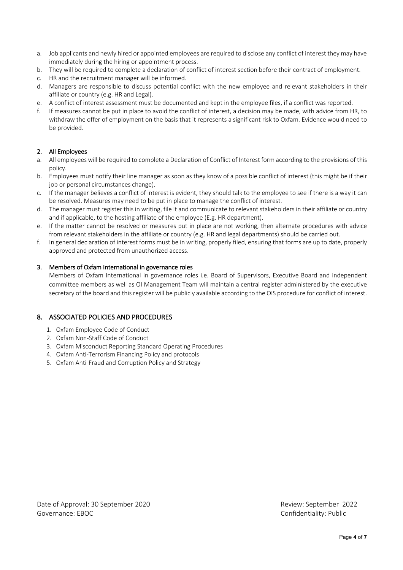- a. Job applicants and newly hired or appointed employees are required to disclose any conflict of interest they may have immediately during the hiring or appointment process.
- b. They will be required to complete a declaration of conflict of interest section before their contract of employment.
- c. HR and the recruitment manager will be informed.
- d. Managers are responsible to discuss potential conflict with the new employee and relevant stakeholders in their affiliate or country (e.g. HR and Legal).
- e. A conflict of interest assessment must be documented and kept in the employee files, if a conflict was reported.
- f. If measures cannot be put in place to avoid the conflict of interest, a decision may be made, with advice from HR, to withdraw the offer of employment on the basis that it represents a significant risk to Oxfam. Evidence would need to be provided.

## 2. All Employees

- a. All employees will be required to complete a Declaration of Conflict of Interest form according to the provisions of this policy.
- b. Employees must notify their line manager as soon as they know of a possible conflict of interest (this might be if their job or personal circumstances change).
- c. If the manager believes a conflict of interest is evident, they should talk to the employee to see if there is a way it can be resolved. Measures may need to be put in place to manage the conflict of interest.
- d. The manager must register this in writing, file it and communicate to relevant stakeholders in their affiliate or country and if applicable, to the hosting affiliate of the employee (E.g. HR department).
- e. If the matter cannot be resolved or measures put in place are not working, then alternate procedures with advice from relevant stakeholders in the affiliate or country (e.g. HR and legal departments) should be carried out.
- f. In general declaration of interest forms must be in writing, properly filed, ensuring that forms are up to date, properly approved and protected from unauthorized access.

## 3. Members of Oxfam International in governance roles

Members of Oxfam International in governance roles i.e. Board of Supervisors, Executive Board and independent committee members as well as OI Management Team will maintain a central register administered by the executive secretary of the board and this register will be publicly available according to the OIS procedure for conflict of interest.

## 8. ASSOCIATED POLICIES AND PROCEDURES

- 1. Oxfam Employee Code of Conduct
- 2. Oxfam Non-Staff Code of Conduct
- 3. Oxfam Misconduct Reporting Standard Operating Procedures
- 4. Oxfam Anti-Terrorism Financing Policy and protocols
- 5. Oxfam Anti-Fraud and Corruption Policy and Strategy

Date of Approval: 30 September 2020 **Review: September 2022** Governance: EBOC Confidentiality: Public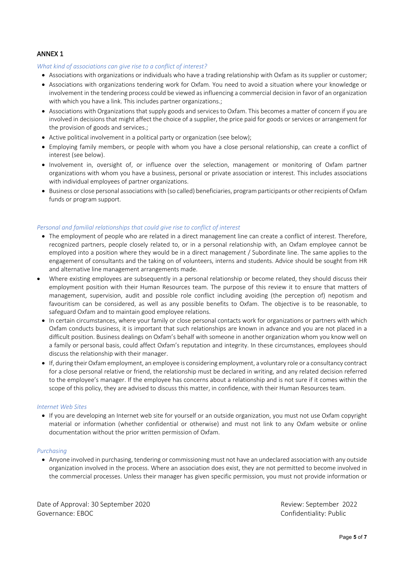## ANNEX 1

*What kind of associations can give rise to a conflict of interest?* 

- Associations with organizations or individuals who have a trading relationship with Oxfam as its supplier or customer;
- Associations with organizations tendering work for Oxfam. You need to avoid a situation where your knowledge or involvement in the tendering process could be viewed as influencing a commercial decision in favor of an organization with which you have a link. This includes partner organizations.;
- Associations with Organizations that supply goods and services to Oxfam. This becomes a matter of concern if you are involved in decisions that might affect the choice of a supplier, the price paid for goods or services or arrangement for the provision of goods and services.;
- Active political involvement in a political party or organization (see below);
- Employing family members, or people with whom you have a close personal relationship, can create a conflict of interest (see below).
- Involvement in, oversight of, or influence over the selection, management or monitoring of Oxfam partner organizations with whom you have a business, personal or private association or interest. This includes associations with individual employees of partner organizations.
- Business or close personal associations with (so called) beneficiaries, program participants or other recipients of Oxfam funds or program support.

#### *Personal and familial relationships that could give rise to conflict of interest*

- The employment of people who are related in a direct management line can create a conflict of interest. Therefore, recognized partners, people closely related to, or in a personal relationship with, an Oxfam employee cannot be employed into a position where they would be in a direct management / Subordinate line. The same applies to the engagement of consultants and the taking on of volunteers, interns and students. Advice should be sought from HR and alternative line management arrangements made.
- Where existing employees are subsequently in a personal relationship or become related, they should discuss their employment position with their Human Resources team. The purpose of this review it to ensure that matters of management, supervision, audit and possible role conflict including avoiding (the perception of) nepotism and favouritism can be considered, as well as any possible benefits to Oxfam. The objective is to be reasonable, to safeguard Oxfam and to maintain good employee relations.
- In certain circumstances, where your family or close personal contacts work for organizations or partners with which Oxfam conducts business, it is important that such relationships are known in advance and you are not placed in a difficult position. Business dealings on Oxfam's behalf with someone in another organization whom you know well on a family or personal basis, could affect Oxfam's reputation and integrity. In these circumstances, employees should discuss the relationship with their manager.
- If, during their Oxfam employment, an employee is considering employment, a voluntary role or a consultancy contract for a close personal relative or friend, the relationship must be declared in writing, and any related decision referred to the employee's manager. If the employee has concerns about a relationship and is not sure if it comes within the scope of this policy, they are advised to discuss this matter, in confidence, with their Human Resources team.

#### *Internet Web Sites*

• If you are developing an Internet web site for yourself or an outside organization, you must not use Oxfam copyright material or information (whether confidential or otherwise) and must not link to any Oxfam website or online documentation without the prior written permission of Oxfam.

#### *Purchasing*

• Anyone involved in purchasing, tendering or commissioning must not have an undeclared association with any outside organization involved in the process. Where an association does exist, they are not permitted to become involved in the commercial processes. Unless their manager has given specific permission, you must not provide information or

Date of Approval: 30 September 2020 and the september 2022 Review: September 2022 Governance: EBOC Confidentiality: Public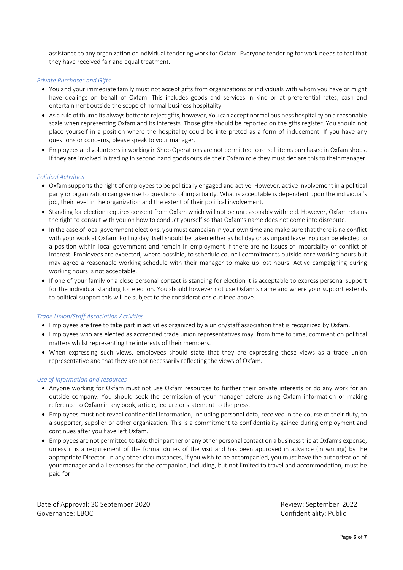assistance to any organization or individual tendering work for Oxfam. Everyone tendering for work needs to feel that they have received fair and equal treatment.

#### *Private Purchases and Gifts*

- You and your immediate family must not accept gifts from organizations or individuals with whom you have or might have dealings on behalf of Oxfam. This includes goods and services in kind or at preferential rates, cash and entertainment outside the scope of normal business hospitality.
- As a rule of thumb its always better to reject gifts, however, You can accept normal business hospitality on a reasonable scale when representing Oxfam and its interests. Those gifts should be reported on the gifts register. You should not place yourself in a position where the hospitality could be interpreted as a form of inducement. If you have any questions or concerns, please speak to your manager.
- Employees and volunteers in working in Shop Operations are not permitted to re-sell items purchased in Oxfam shops. If they are involved in trading in second hand goods outside their Oxfam role they must declare this to their manager.

#### *Political Activities*

- Oxfam supports the right of employees to be politically engaged and active. However, active involvement in a political party or organization can give rise to questions of impartiality. What is acceptable is dependent upon the individual's job, their level in the organization and the extent of their political involvement.
- Standing for election requires consent from Oxfam which will not be unreasonably withheld. However, Oxfam retains the right to consult with you on how to conduct yourself so that Oxfam's name does not come into disrepute.
- In the case of local government elections, you must campaign in your own time and make sure that there is no conflict with your work at Oxfam. Polling day itself should be taken either as holiday or as unpaid leave. You can be elected to a position within local government and remain in employment if there are no issues of impartiality or conflict of interest. Employees are expected, where possible, to schedule council commitments outside core working hours but may agree a reasonable working schedule with their manager to make up lost hours. Active campaigning during working hours is not acceptable.
- If one of your family or a close personal contact is standing for election it is acceptable to express personal support for the individual standing for election. You should however not use Oxfam's name and where your support extends to political support this will be subject to the considerations outlined above.

#### *Trade Union/Staff Association Activities*

- Employees are free to take part in activities organized by a union/staff association that is recognized by Oxfam.
- Employees who are elected as accredited trade union representatives may, from time to time, comment on political matters whilst representing the interests of their members.
- When expressing such views, employees should state that they are expressing these views as a trade union representative and that they are not necessarily reflecting the views of Oxfam.

#### *Use of information and resources*

- Anyone working for Oxfam must not use Oxfam resources to further their private interests or do any work for an outside company. You should seek the permission of your manager before using Oxfam information or making reference to Oxfam in any book, article, lecture or statement to the press.
- Employees must not reveal confidential information, including personal data, received in the course of their duty, to a supporter, supplier or other organization. This is a commitment to confidentiality gained during employment and continues after you have left Oxfam.
- Employees are not permitted to take their partner or any other personal contact on a business trip at Oxfam's expense, unless it is a requirement of the formal duties of the visit and has been approved in advance (in writing) by the appropriate Director. In any other circumstances, if you wish to be accompanied, you must have the authorization of your manager and all expenses for the companion, including, but not limited to travel and accommodation, must be paid for.

Date of Approval: 30 September 2020 and the september 2022 Review: September 2022 Governance: EBOC Confidentiality: Public